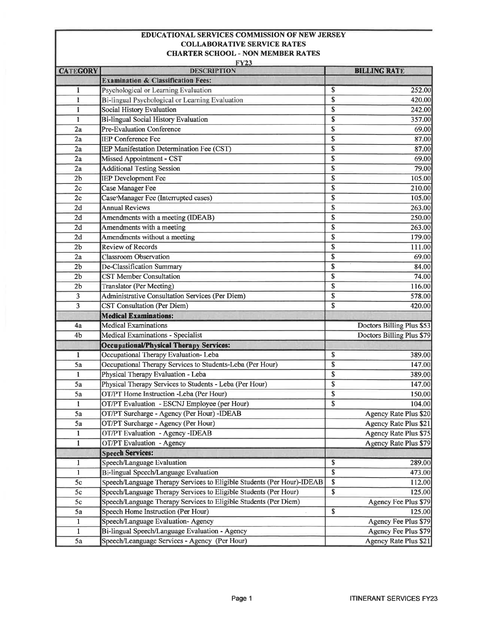## **EDUCATIONAL SERVICES COMMISSION OF NEW JERSEY COLLABORATIVE SERVICE RATES CHARTER SCHOOL - NON MEMBER RATES**

|                 | <b>FY23</b>                                                            |                              |
|-----------------|------------------------------------------------------------------------|------------------------------|
| <b>CATEGORY</b> | <b>DESCRIPTION</b>                                                     | <b>BILLING RATE</b>          |
|                 | <b>Examination &amp; Classification Fees:</b>                          |                              |
| $\mathbf{1}$    | Psychological or Learning Evaluation                                   | \$<br>252.00                 |
| $\mathbf{1}$    | Bi-lingual Psychological or Learning Evaluation                        | \$<br>420.00                 |
| 1               | Social History Evaluation                                              | \$<br>242.00                 |
| 1               | <b>Bi-lingual Social History Evaluation</b>                            | \$<br>357.00                 |
| 2a              | Pre-Evaluation Conference                                              | \$<br>69.00                  |
| 2a              | <b>IEP Conference Fee</b>                                              | \$<br>87.00                  |
| 2a              | <b>IEP Manifestation Determination Fee (CST)</b>                       | \$<br>87.00                  |
| 2a              | Missed Appointment - CST                                               | \$<br>69.00                  |
| 2a              | <b>Additional Testing Session</b>                                      | \$<br>79.00                  |
| 2 <sub>b</sub>  | <b>IEP</b> Development Fee                                             | \$<br>105.00                 |
| 2c              | <b>Case Manager Fee</b>                                                | \$<br>210.00                 |
| 2c              | Case <sup>®</sup> Manager Fee (Interrupted cases)                      | \$<br>105.00                 |
| 2d              | <b>Annual Reviews</b>                                                  | \$<br>263.00                 |
| 2d              | Amendments with a meeting (IDEAB)                                      | \$<br>250.00                 |
| 2d              | Amendments with a meeting                                              | \$<br>263.00                 |
| 2d              | Amendments without a meeting                                           | \$<br>179.00                 |
| 2 <sub>b</sub>  | <b>Review of Records</b>                                               | \$<br>111.00                 |
| 2a              | <b>Classroom Observation</b>                                           | \$<br>69.00                  |
| 2 <sub>b</sub>  | De-Classification Summary                                              | \$<br>84.00                  |
| 2 <sub>b</sub>  | <b>CST Member Consultation</b>                                         | \$<br>74.00                  |
| 2 <sub>b</sub>  | <b>Translator</b> (Per Meeting)                                        | \$<br>116.00                 |
| 3               | Administrative Consultation Services (Per Diem)                        | \$<br>578.00                 |
| 3               | <b>CST</b> Consultation (Per Diem)                                     | \$<br>420.00                 |
|                 | <b>Medical Examinations:</b>                                           |                              |
| 4a              | <b>Medical Examinations</b>                                            | Doctors Billing Plus \$53    |
| 4b              | Medical Examinations - Specialist                                      | Doctors Billing Plus \$79    |
|                 | <b>Occupational/Physical Therapy Services:</b>                         |                              |
| 1               | Occupational Therapy Evaluation-Leba                                   | \$<br>389.00                 |
| 5a              | Occupational Therapy Services to Students-Leba (Per Hour)              | \$<br>147.00                 |
| $\mathbf{1}$    | Physical Therapy Evaluation - Leba                                     | \$<br>389.00                 |
| 5a              | Physical Therapy Services to Students - Leba (Per Hour)                | \$<br>147.00                 |
| 5a              | OT/PT Home Instruction -Leba (Per Hour)                                | \$<br>150.00                 |
| 1               | OT/PT Evaluation - ESCNJ Employee (per Hour)                           | \$<br>104.00                 |
| 5a              | OT/PT Surcharge - Agency (Per Hour) -IDEAB                             | Agency Rate Plus \$20        |
| 5a              | OT/PT Surcharge - Agency (Per Hour)                                    | Agency Rate Plus \$21        |
| $\mathbf{1}$    | OT/PT Evaluation - Agency -IDEAB                                       | Agency Rate Plus \$75        |
|                 | <b>OT/PT</b> Evaluation - Agency                                       | <b>Agency Rate Plus \$79</b> |
| $\mathbf{1}$    | <b>Speech Services:</b>                                                |                              |
|                 | Speech/Language Evaluation                                             | \$<br>289.00                 |
| 1               |                                                                        | \$                           |
| $\mathbf{1}$    | Bi-lingual Speech/Language Evaluation                                  | 473.00                       |
| 5c              | Speech/Language Therapy Services to Eligible Students (Per Hour)-IDEAB | \$<br>112.00                 |
| 5c              | Speech/Language Therapy Services to Eligible Students (Per Hour)       | \$<br>125.00                 |
| 5c              | Speech/Language Therapy Services to Eligible Students (Per Diem)       | Agency Fee Plus \$79         |
| 5a              | Speech Home Instruction (Per Hour)                                     | \$<br>125.00                 |
| $\mathbf{1}$    | Speech/Language Evaluation- Agency                                     | Agency Fee Plus \$79         |
| $\mathbf{1}$    | Bi-lingual Speech/Language Evaluation - Agency                         | Agency Fee Plus \$79         |
| 5a              | Speech/Leanguage Services - Agency (Per Hour)                          | Agency Rate Plus \$21        |